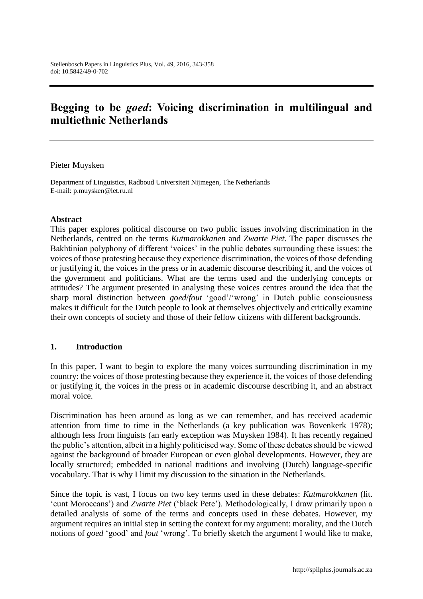# **Begging to be** *goed***: Voicing discrimination in multilingual and multiethnic Netherlands**

Pieter Muysken

Department of Linguistics, Radboud Universiteit Nijmegen, The Netherlands E-mail: p.muysken@let.ru.nl

## **Abstract**

This paper explores political discourse on two public issues involving discrimination in the Netherlands, centred on the terms *Kutmarokkanen* and *Zwarte Piet*. The paper discusses the Bakhtinian polyphony of different 'voices' in the public debates surrounding these issues: the voices of those protesting because they experience discrimination, the voices of those defending or justifying it, the voices in the press or in academic discourse describing it, and the voices of the government and politicians. What are the terms used and the underlying concepts or attitudes? The argument presented in analysing these voices centres around the idea that the sharp moral distinction between *goed*/*fout* 'good'/'wrong' in Dutch public consciousness makes it difficult for the Dutch people to look at themselves objectively and critically examine their own concepts of society and those of their fellow citizens with different backgrounds.

## **1. Introduction**

In this paper, I want to begin to explore the many voices surrounding discrimination in my country: the voices of those protesting because they experience it, the voices of those defending or justifying it, the voices in the press or in academic discourse describing it, and an abstract moral voice.

Discrimination has been around as long as we can remember, and has received academic attention from time to time in the Netherlands (a key publication was Bovenkerk 1978); although less from linguists (an early exception was Muysken 1984). It has recently regained the public's attention, albeit in a highly politicised way. Some of these debates should be viewed against the background of broader European or even global developments. However, they are locally structured; embedded in national traditions and involving (Dutch) language-specific vocabulary. That is why I limit my discussion to the situation in the Netherlands.

Since the topic is vast, I focus on two key terms used in these debates: *Kutmarokkanen* (lit. 'cunt Moroccans') and *Zwarte Piet* ('black Pete'). Methodologically, I draw primarily upon a detailed analysis of some of the terms and concepts used in these debates. However, my argument requires an initial step in setting the context for my argument: morality, and the Dutch notions of *goed* 'good' and *fout* 'wrong'. To briefly sketch the argument I would like to make,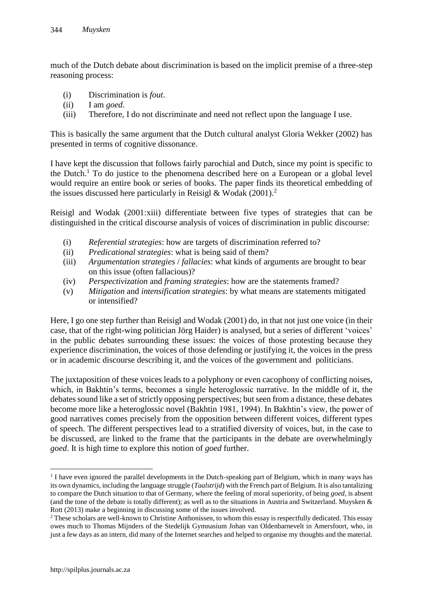much of the Dutch debate about discrimination is based on the implicit premise of a three-step reasoning process:

- (i) Discrimination is *fout*.
- (ii) I am *goed*.
- (iii) Therefore, I do not discriminate and need not reflect upon the language I use.

This is basically the same argument that the Dutch cultural analyst Gloria Wekker (2002) has presented in terms of cognitive dissonance.

I have kept the discussion that follows fairly parochial and Dutch, since my point is specific to the Dutch.<sup>1</sup> To do justice to the phenomena described here on a European or a global level would require an entire book or series of books. The paper finds its theoretical embedding of the issues discussed here particularly in Reisigl & Wodak  $(2001)^2$ 

Reisigl and Wodak (2001:xiii) differentiate between five types of strategies that can be distinguished in the critical discourse analysis of voices of discrimination in public discourse:

- (i) *Referential strategies*: how are targets of discrimination referred to?
- (ii) *Predicational strategies*: what is being said of them?
- (iii) *Argumentation strategies* / *fallacies*: what kinds of arguments are brought to bear on this issue (often fallacious)?
- (iv) *Perspectivization* and *framing strategies*: how are the statements framed?
- (v) *Mitigation* and *intensification strategies*: by what means are statements mitigated or intensified?

Here, I go one step further than Reisigl and Wodak (2001) do, in that not just one voice (in their case, that of the right-wing politician Jörg Haider) is analysed, but a series of different 'voices' in the public debates surrounding these issues: the voices of those protesting because they experience discrimination, the voices of those defending or justifying it, the voices in the press or in academic discourse describing it, and the voices of the government and politicians.

The juxtaposition of these voices leads to a polyphony or even cacophony of conflicting noises, which, in Bakhtin's terms, becomes a single heteroglossic narrative. In the middle of it, the debates sound like a set of strictly opposing perspectives; but seen from a distance, these debates become more like a heteroglossic novel (Bakhtin 1981, 1994). In Bakhtin's view, the power of good narratives comes precisely from the opposition between different voices, different types of speech. The different perspectives lead to a stratified diversity of voices, but, in the case to be discussed, are linked to the frame that the participants in the debate are overwhelmingly *goed*. It is high time to explore this notion of *goed* further.

 $\overline{a}$ 

<sup>&</sup>lt;sup>1</sup> I have even ignored the parallel developments in the Dutch-speaking part of Belgium, which in many ways has its own dynamics, including the language struggle (*Taalstrijd*) with the French part of Belgium. It is also tantalizing to compare the Dutch situation to that of Germany, where the feeling of moral superiority, of being *goed*, is absent (and the tone of the debate is totally different); as well as to the situations in Austria and Switzerland. Muysken & Rott (2013) make a beginning in discussing some of the issues involved.

<sup>&</sup>lt;sup>2</sup> These scholars are well-known to Christine Anthonissen, to whom this essay is respectfully dedicated. This essay owes much to Thomas Mijnders of the Stedelijk Gymnasium Johan van Oldenbarnevelt in Amersfoort, who, in just a few days as an intern, did many of the Internet searches and helped to organise my thoughts and the material.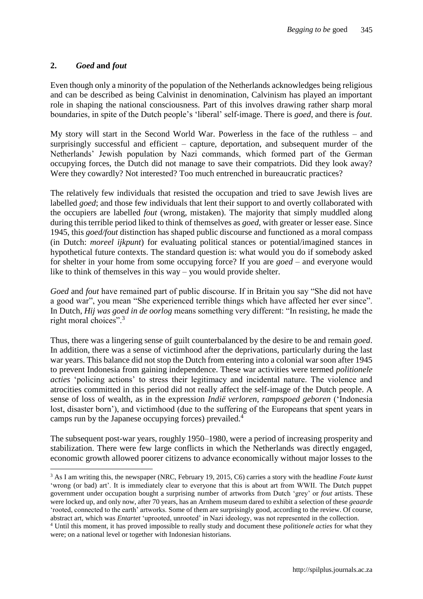# **2.** *Goed* **and** *fout*

 $\overline{a}$ 

Even though only a minority of the population of the Netherlands acknowledges being religious and can be described as being Calvinist in denomination, Calvinism has played an important role in shaping the national consciousness. Part of this involves drawing rather sharp moral boundaries, in spite of the Dutch people's 'liberal' self-image. There is *goed*, and there is *fout*.

My story will start in the Second World War. Powerless in the face of the ruthless – and surprisingly successful and efficient – capture, deportation, and subsequent murder of the Netherlands' Jewish population by Nazi commands, which formed part of the German occupying forces, the Dutch did not manage to save their compatriots. Did they look away? Were they cowardly? Not interested? Too much entrenched in bureaucratic practices?

The relatively few individuals that resisted the occupation and tried to save Jewish lives are labelled *goed*; and those few individuals that lent their support to and overtly collaborated with the occupiers are labelled *fout* (wrong, mistaken). The majority that simply muddled along during this terrible period liked to think of themselves as *goed*, with greater or lesser ease. Since 1945, this *goed/fout* distinction has shaped public discourse and functioned as a moral compass (in Dutch: *moreel ijkpunt*) for evaluating political stances or potential/imagined stances in hypothetical future contexts. The standard question is: what would you do if somebody asked for shelter in your home from some occupying force? If you are *goed* – and everyone would like to think of themselves in this way – you would provide shelter.

*Goed* and *fout* have remained part of public discourse. If in Britain you say "She did not have a good war", you mean "She experienced terrible things which have affected her ever since". In Dutch, *Hij was goed in de oorlog* means something very different: "In resisting, he made the right moral choices".<sup>3</sup>

Thus, there was a lingering sense of guilt counterbalanced by the desire to be and remain *goed*. In addition, there was a sense of victimhood after the deprivations, particularly during the last war years. This balance did not stop the Dutch from entering into a colonial war soon after 1945 to prevent Indonesia from gaining independence. These war activities were termed *politionele acties* 'policing actions' to stress their legitimacy and incidental nature. The violence and atrocities committed in this period did not really affect the self-image of the Dutch people. A sense of loss of wealth, as in the expression *Indië verloren, rampspoed geboren* ('Indonesia lost, disaster born'), and victimhood (due to the suffering of the Europeans that spent years in camps run by the Japanese occupying forces) prevailed.<sup>4</sup>

The subsequent post-war years, roughly 1950–1980, were a period of increasing prosperity and stabilization. There were few large conflicts in which the Netherlands was directly engaged, economic growth allowed poorer citizens to advance economically without major losses to the

<sup>3</sup> As I am writing this, the newspaper (NRC, February 19, 2015, C6) carries a story with the headline *Foute kunst*  'wrong (or bad) art'. It is immediately clear to everyone that this is about art from WWII. The Dutch puppet government under occupation bought a surprising number of artworks from Dutch 'grey' or *fout* artists. These were locked up, and only now, after 70 years, has an Arnhem museum dared to exhibit a selection of these *geaarde* 'rooted, connected to the earth' artworks. Some of them are surprisingly good, according to the review. Of course, abstract art, which was *Entartet* 'uprooted, unrooted' in Nazi ideology, was not represented in the collection.

<sup>4</sup> Until this moment, it has proved impossible to really study and document these *politionele acties* for what they were; on a national level or together with Indonesian historians.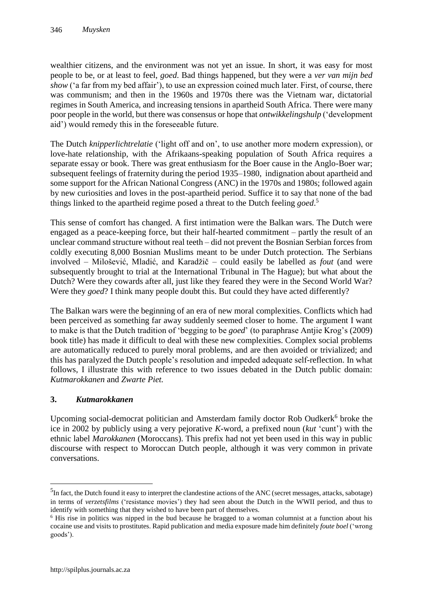wealthier citizens, and the environment was not yet an issue. In short, it was easy for most people to be, or at least to feel, *goed*. Bad things happened, but they were a *ver van mijn bed show* ('a far from my bed affair'), to use an expression coined much later. First, of course, there was communism; and then in the 1960s and 1970s there was the Vietnam war, dictatorial regimes in South America, and increasing tensions in apartheid South Africa. There were many poor people in the world, but there was consensus or hope that *ontwikkelingshulp* ('development aid') would remedy this in the foreseeable future.

The Dutch *knipperlichtrelatie* ('light off and on', to use another more modern expression), or love-hate relationship, with the Afrikaans-speaking population of South Africa requires a separate essay or book. There was great enthusiasm for the Boer cause in the Anglo-Boer war; subsequent feelings of fraternity during the period 1935–1980, indignation about apartheid and some support for the African National Congress (ANC) in the 1970s and 1980s; followed again by new curiosities and loves in the post-apartheid period. Suffice it to say that none of the bad things linked to the apartheid regime posed a threat to the Dutch feeling *goed*. 5

This sense of comfort has changed. A first intimation were the Balkan wars. The Dutch were engaged as a peace-keeping force, but their half-hearted commitment – partly the result of an unclear command structure without real teeth – did not prevent the Bosnian Serbian forces from coldly executing 8,000 Bosnian Muslims meant to be under Dutch protection. The Serbians involved – Milošević, Mladić, and Karadžič – could easily be labelled as *fout* (and were subsequently brought to trial at the International Tribunal in The Hague); but what about the Dutch? Were they cowards after all, just like they feared they were in the Second World War? Were they *goed*? I think many people doubt this. But could they have acted differently?

The Balkan wars were the beginning of an era of new moral complexities. Conflicts which had been perceived as something far away suddenly seemed closer to home. The argument I want to make is that the Dutch tradition of 'begging to be *goed*' (to paraphrase Antjie Krog's (2009) book title) has made it difficult to deal with these new complexities. Complex social problems are automatically reduced to purely moral problems, and are then avoided or trivialized; and this has paralyzed the Dutch people's resolution and impeded adequate self-reflection. In what follows, I illustrate this with reference to two issues debated in the Dutch public domain: *Kutmarokkanen* and *Zwarte Piet.*

# **3.** *Kutmarokkanen*

Upcoming social-democrat politician and Amsterdam family doctor Rob Oudkerk<sup>6</sup> broke the ice in 2002 by publicly using a very pejorative *K*-word, a prefixed noun (*kut* 'cunt') with the ethnic label *Marokkanen* (Moroccans). This prefix had not yet been used in this way in public discourse with respect to Moroccan Dutch people, although it was very common in private conversations.

 $\overline{a}$ 

 ${}^{5}$ In fact, the Dutch found it easy to interpret the clandestine actions of the ANC (secret messages, attacks, sabotage) in terms of *verzetsfilms* ('resistance movies') they had seen about the Dutch in the WWII period, and thus to identify with something that they wished to have been part of themselves.

<sup>6</sup> His rise in politics was nipped in the bud because he bragged to a woman columnist at a function about his cocaine use and visits to prostitutes. Rapid publication and media exposure made him definitely *foute boel* ('wrong goods').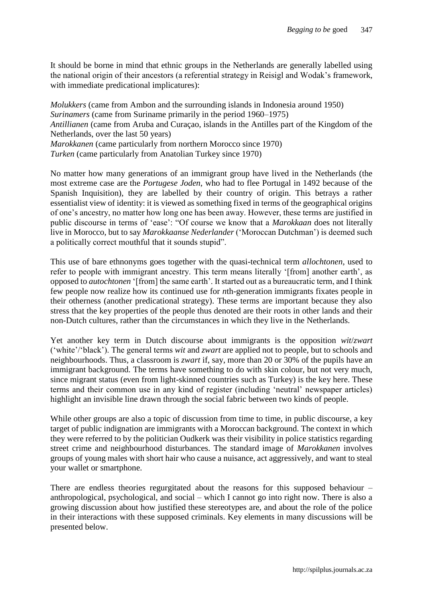It should be borne in mind that ethnic groups in the Netherlands are generally labelled using the national origin of their ancestors (a referential strategy in Reisigl and Wodak's framework, with immediate predicational implicatures):

*Molukkers* (came from Ambon and the surrounding islands in Indonesia around 1950) *Surinamers* (came from Suriname primarily in the period 1960–1975) *Antillianen* (came from Aruba and Curaçao, islands in the Antilles part of the Kingdom of the Netherlands, over the last 50 years) *Marokkanen* (came particularly from northern Morocco since 1970) *Turken* (came particularly from Anatolian Turkey since 1970)

No matter how many generations of an immigrant group have lived in the Netherlands (the most extreme case are the *Portugese Joden*, who had to flee Portugal in 1492 because of the Spanish Inquisition), they are labelled by their country of origin. This betrays a rather essentialist view of identity: it is viewed as something fixed in terms of the geographical origins of one's ancestry, no matter how long one has been away. However, these terms are justified in public discourse in terms of 'ease': "Of course we know that a *Marokkaan* does not literally live in Morocco, but to say *Marokkaanse Nederlander* ('Moroccan Dutchman') is deemed such a politically correct mouthful that it sounds stupid".

This use of bare ethnonyms goes together with the quasi-technical term *allochtonen*, used to refer to people with immigrant ancestry. This term means literally '[from] another earth', as opposed to *autochtonen* '[from] the same earth'. It started out as a bureaucratic term, and I think few people now realize how its continued use for *n*th-generation immigrants fixates people in their otherness (another predicational strategy). These terms are important because they also stress that the key properties of the people thus denoted are their roots in other lands and their non-Dutch cultures, rather than the circumstances in which they live in the Netherlands.

Yet another key term in Dutch discourse about immigrants is the opposition *wit*/*zwart*  ('white'/'black'). The general terms *wit* and *zwart* are applied not to people, but to schools and neighbourhoods. Thus, a classroom is *zwart* if, say, more than 20 or 30% of the pupils have an immigrant background. The terms have something to do with skin colour, but not very much, since migrant status (even from light-skinned countries such as Turkey) is the key here. These terms and their common use in any kind of register (including 'neutral' newspaper articles) highlight an invisible line drawn through the social fabric between two kinds of people.

While other groups are also a topic of discussion from time to time, in public discourse, a key target of public indignation are immigrants with a Moroccan background. The context in which they were referred to by the politician Oudkerk was their visibility in police statistics regarding street crime and neighbourhood disturbances. The standard image of *Marokkanen* involves groups of young males with short hair who cause a nuisance, act aggressively, and want to steal your wallet or smartphone.

There are endless theories regurgitated about the reasons for this supposed behaviour – anthropological, psychological, and social – which I cannot go into right now. There is also a growing discussion about how justified these stereotypes are, and about the role of the police in their interactions with these supposed criminals. Key elements in many discussions will be presented below.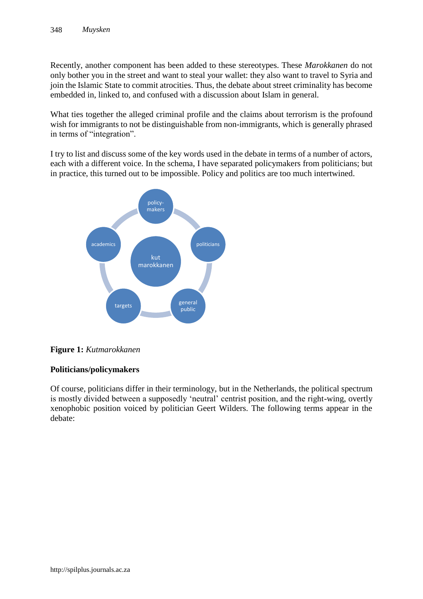Recently, another component has been added to these stereotypes. These *Marokkanen* do not only bother you in the street and want to steal your wallet: they also want to travel to Syria and join the Islamic State to commit atrocities. Thus, the debate about street criminality has become embedded in, linked to, and confused with a discussion about Islam in general.

What ties together the alleged criminal profile and the claims about terrorism is the profound wish for immigrants to not be distinguishable from non-immigrants, which is generally phrased in terms of "integration".

I try to list and discuss some of the key words used in the debate in terms of a number of actors, each with a different voice. In the schema, I have separated policymakers from politicians; but in practice, this turned out to be impossible. Policy and politics are too much intertwined.



**Figure 1:** *Kutmarokkanen*

# **Politicians/policymakers**

Of course, politicians differ in their terminology, but in the Netherlands, the political spectrum is mostly divided between a supposedly 'neutral' centrist position, and the right-wing, overtly xenophobic position voiced by politician Geert Wilders. The following terms appear in the debate: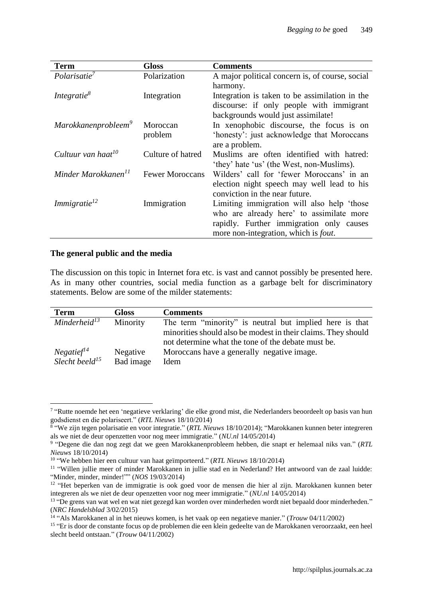| <b>Term</b>                     | Gloss                  | <b>Comments</b>                                 |
|---------------------------------|------------------------|-------------------------------------------------|
| Polarisatie <sup>7</sup>        | Polarization           | A major political concern is, of course, social |
|                                 |                        | harmony.                                        |
| Integratie <sup>8</sup>         | Integration            | Integration is taken to be assimilation in the  |
|                                 |                        | discourse: if only people with immigrant        |
|                                 |                        | backgrounds would just assimilate!              |
| Marokkanenprobleem <sup>9</sup> | Moroccan               | In xenophobic discourse, the focus is on        |
|                                 | problem                | 'honesty': just acknowledge that Moroccans      |
|                                 |                        | are a problem.                                  |
| Cultuur van haat <sup>10</sup>  | Culture of hatred      | Muslims are often identified with hatred:       |
|                                 |                        | 'they' hate 'us' (the West, non-Muslims).       |
| Minder Marokkanen <sup>11</sup> | <b>Fewer Moroccans</b> | Wilders' call for 'fewer Moroccans' in an       |
|                                 |                        | election night speech may well lead to his      |
|                                 |                        | conviction in the near future.                  |
| <i>Immigratie</i> <sup>12</sup> | Immigration            | Limiting immigration will also help 'those      |
|                                 |                        | who are already here' to assimilate more        |
|                                 |                        | rapidly. Further immigration only causes        |
|                                 |                        | more non-integration, which is <i>fout</i> .    |

#### **The general public and the media**

The discussion on this topic in Internet fora etc. is vast and cannot possibly be presented here. As in many other countries, social media function as a garbage belt for discriminatory statements. Below are some of the milder statements:

| <b>Term</b>                                 | <b>Gloss</b>          | <b>Comments</b>                                                                                                     |
|---------------------------------------------|-----------------------|---------------------------------------------------------------------------------------------------------------------|
| Minderheid <sup>13</sup>                    | Minority              | The term "minority" is neutral but implied here is that                                                             |
|                                             |                       | minorities should also be modest in their claims. They should<br>not determine what the tone of the debate must be. |
| Negatief <sup>14</sup><br>Slecht beeld $15$ | Negative<br>Bad image | Moroccans have a generally negative image.<br>Idem                                                                  |

 $\overline{a}$ 7 "Rutte noemde het een 'negatieve verklaring' die elke grond mist, die Nederlanders beoordeelt op basis van hun

godsdienst en die polariseert." (*RTL Nieuws* 18/10/2014) 8 "We zijn tegen polarisatie en voor integratie." (*RTL Nieuws* 18/10/2014); "Marokkanen kunnen beter integreren als we niet de deur openzetten voor nog meer immigratie." (*NU.nl* 14/05/2014)

<sup>9</sup> "Degene die dan nog zegt dat we geen Marokkanenprobleem hebben, die snapt er helemaal niks van." (*RTL Nieuws* 18/10/2014)

<sup>10</sup> "We hebben hier een cultuur van haat geïmporteerd." (*RTL Nieuws* 18/10/2014)

<sup>&</sup>lt;sup>11</sup> "Willen jullie meer of minder Marokkanen in jullie stad en in Nederland? Het antwoord van de zaal luidde: "Minder, minder, minder!"" (*NOS* 19/03/2014)

<sup>&</sup>lt;sup>12</sup> "Het beperken van de immigratie is ook goed voor de mensen die hier al zijn. Marokkanen kunnen beter integreren als we niet de deur openzetten voor nog meer immigratie." (*NU.nl* 14/05/2014)

<sup>&</sup>lt;sup>13</sup> "De grens van wat wel en wat niet gezegd kan worden over minderheden wordt niet bepaald door minderheden." (*NRC Handelsblad* 3/02/2015)

<sup>14</sup> "Als Marokkanen al in het nieuws komen, is het vaak op een negatieve manier." (*Trouw* 04/11/2002)

<sup>&</sup>lt;sup>15</sup> "Er is door de constante focus op de problemen die een klein gedeelte van de Marokkanen veroorzaakt, een heel slecht beeld ontstaan." (*Trouw* 04/11/2002)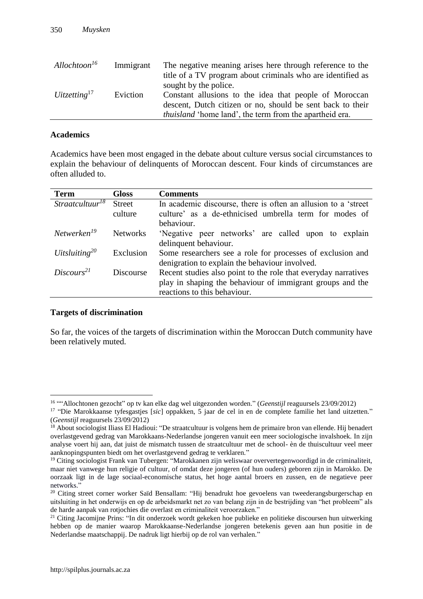| Allochtoon <sup>16</sup>    | Immigrant | The negative meaning arises here through reference to the      |
|-----------------------------|-----------|----------------------------------------------------------------|
|                             |           | title of a TV program about criminals who are identified as    |
|                             |           | sought by the police.                                          |
| $U$ itzetting <sup>17</sup> | Eviction  | Constant allusions to the idea that people of Moroccan         |
|                             |           | descent, Dutch citizen or no, should be sent back to their     |
|                             |           | <i>thuisland</i> 'home land', the term from the apartheid era. |

#### **Academics**

Academics have been most engaged in the debate about culture versus social circumstances to explain the behaviour of delinquents of Moroccan descent. Four kinds of circumstances are often alluded to.

| <b>Term</b>                    | <b>Gloss</b>    | <b>Comments</b>                                                |
|--------------------------------|-----------------|----------------------------------------------------------------|
| $Stractcutuur^{\overline{18}}$ | <b>Street</b>   | In academic discourse, there is often an allusion to a 'street |
|                                | culture         | culture' as a de-ethnicised umbrella term for modes of         |
|                                |                 | behaviour.                                                     |
| Networken <sup>19</sup>        | <b>Networks</b> | 'Negative peer networks' are called upon to explain            |
|                                |                 | delinquent behaviour.                                          |
| Uitsluiting <sup>20</sup>      | Exclusion       | Some researchers see a role for processes of exclusion and     |
|                                |                 | denigration to explain the behaviour involved.                 |
| Discours <sup>21</sup>         | Discourse       | Recent studies also point to the role that everyday narratives |
|                                |                 | play in shaping the behaviour of immigrant groups and the      |
|                                |                 | reactions to this behaviour.                                   |

#### **Targets of discrimination**

 $\overline{a}$ 

So far, the voices of the targets of discrimination within the Moroccan Dutch community have been relatively muted.

<sup>&</sup>lt;sup>16</sup> ""Allochtonen gezocht" op tv kan elke dag wel uitgezonden worden." (*Geenstijl* reaguursels 23/09/2012)

<sup>17</sup> "Die Marokkaanse tyfesgastjes [*sic*] oppakken, 5 jaar de cel in en de complete familie het land uitzetten." (*Geenstijl* reaguursels 23/09/2012)

<sup>&</sup>lt;sup>18</sup> About sociologist Iliass El Hadioui: "De straatcultuur is volgens hem de primaire bron van ellende. Hij benadert overlastgevend gedrag van Marokkaans-Nederlandse jongeren vanuit een meer sociologische invalshoek. In zijn analyse voert hij aan, dat juist de mismatch tussen de straatcultuur met de school- èn de thuiscultuur veel meer aanknopingspunten biedt om het overlastgevend gedrag te verklaren."

<sup>19</sup> Citing sociologist Frank van Tubergen: "Marokkanen zijn weliswaar oververtegenwoordigd in de criminaliteit, maar niet vanwege hun religie of cultuur, of omdat deze jongeren (of hun ouders) geboren zijn in Marokko. De oorzaak ligt in de lage sociaal-economische status, het hoge aantal broers en zussen, en de negatieve peer networks."

<sup>&</sup>lt;sup>20</sup> Citing street corner worker Saïd Bensallam: "Hij benadrukt hoe gevoelens van tweederangsburgerschap en uitsluiting in het onderwijs en op de arbeidsmarkt net zo van belang zijn in de bestrijding van "het probleem" als de harde aanpak van rotjochies die overlast en criminaliteit veroorzaken."

<sup>&</sup>lt;sup>21</sup> Citing Jacomijne Prins: "In dit onderzoek wordt gekeken hoe publieke en politieke discoursen hun uitwerking hebben op de manier waarop Marokkaanse-Nederlandse jongeren betekenis geven aan hun positie in de Nederlandse maatschappij. De nadruk ligt hierbij op de rol van verhalen."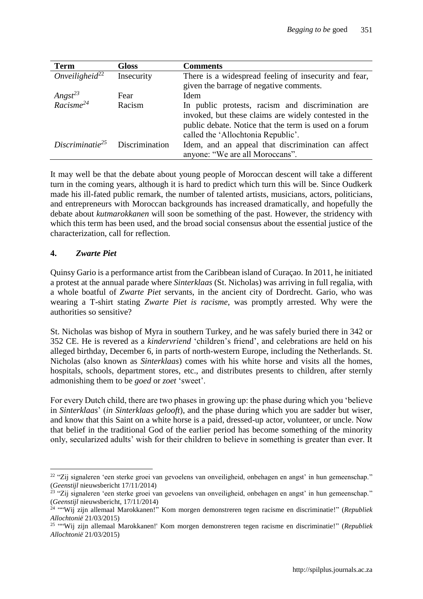| <b>Term</b>                       | <b>Gloss</b>   | Comments                                               |
|-----------------------------------|----------------|--------------------------------------------------------|
| Onveiligheid <sup>22</sup>        | Insecurity     | There is a widespread feeling of insecurity and fear,  |
|                                   |                | given the barrage of negative comments.                |
| $\frac{Angst^{23}}{Racisme^{24}}$ | Fear           | Idem                                                   |
|                                   | Racism         | In public protests, racism and discrimination are      |
|                                   |                | invoked, but these claims are widely contested in the  |
|                                   |                | public debate. Notice that the term is used on a forum |
|                                   |                | called the 'Allochtonia Republic'.                     |
| Discriminatie <sup>25</sup>       | Discrimination | Idem, and an appeal that discrimination can affect     |
|                                   |                | anyone: "We are all Moroccans".                        |

It may well be that the debate about young people of Moroccan descent will take a different turn in the coming years, although it is hard to predict which turn this will be. Since Oudkerk made his ill-fated public remark, the number of talented artists, musicians, actors, politicians, and entrepreneurs with Moroccan backgrounds has increased dramatically, and hopefully the debate about *kutmarokkanen* will soon be something of the past. However, the stridency with which this term has been used, and the broad social consensus about the essential justice of the characterization, call for reflection.

# **4.** *Zwarte Piet*

Quinsy Gario is a performance artist from the Caribbean island of Curaçao. In 2011, he initiated a protest at the annual parade where *Sinterklaas* (St. Nicholas) was arriving in full regalia, with a whole boatful of *Zwarte Piet* servants, in the ancient city of Dordrecht. Gario, who was wearing a T-shirt stating *Zwarte Piet is racisme*, was promptly arrested. Why were the authorities so sensitive?

St. Nicholas was bishop of Myra in southern Turkey, and he was safely buried there in 342 or 352 CE. He is revered as a *kindervriend* 'children's friend', and celebrations are held on his alleged birthday, December 6, in parts of north-western Europe, including the Netherlands. St. Nicholas (also known as *Sinterklaas*) comes with his white horse and visits all the homes, hospitals, schools, department stores, etc., and distributes presents to children, after sternly admonishing them to be *goed* or *zoet* 'sweet'.

For every Dutch child, there are two phases in growing up: the phase during which you 'believe in *Sinterklaas*' (*in Sinterklaas gelooft*), and the phase during which you are sadder but wiser, and know that this Saint on a white horse is a paid, dressed-up actor, volunteer, or uncle. Now that belief in the traditional God of the earlier period has become something of the minority only, secularized adults' wish for their children to believe in something is greater than ever. It

 $\overline{a}$ <sup>22</sup> "Zij signaleren 'een sterke groei van gevoelens van onveiligheid, onbehagen en angst' in hun gemeenschap." (*Geenstijl* nieuwsbericht 17/11/2014)

<sup>&</sup>lt;sup>23</sup> "Zij signaleren 'een sterke groei van gevoelens van onveiligheid, onbehagen en angst' in hun gemeenschap." (*Geenstijl* nieuwsbericht, 17/11/2014)

<sup>24</sup> ""Wij zijn allemaal Marokkanen!" Kom morgen demonstreren tegen racisme en discriminatie!" (*Republiek Allochtonië* 21/03/2015)

<sup>25</sup> ""Wij zijn allemaal Marokkanen!' Kom morgen demonstreren tegen racisme en discriminatie!" (*Republiek Allochtonië* 21/03/2015)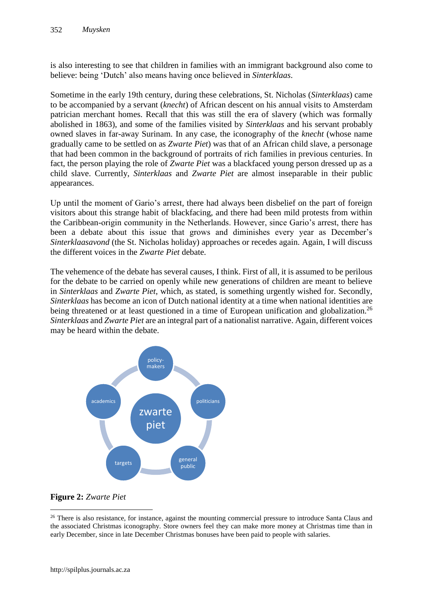is also interesting to see that children in families with an immigrant background also come to believe: being 'Dutch' also means having once believed in *Sinterklaas*.

Sometime in the early 19th century, during these celebrations, St. Nicholas (*Sinterklaas*) came to be accompanied by a servant (*knecht*) of African descent on his annual visits to Amsterdam patrician merchant homes. Recall that this was still the era of slavery (which was formally abolished in 1863), and some of the families visited by *Sinterklaas* and his servant probably owned slaves in far-away Surinam. In any case, the iconography of the *knecht* (whose name gradually came to be settled on as *Zwarte Piet*) was that of an African child slave, a personage that had been common in the background of portraits of rich families in previous centuries. In fact, the person playing the role of *Zwarte Piet* was a blackfaced young person dressed up as a child slave. Currently, *Sinterklaas* and *Zwarte Piet* are almost inseparable in their public appearances.

Up until the moment of Gario's arrest, there had always been disbelief on the part of foreign visitors about this strange habit of blackfacing, and there had been mild protests from within the Caribbean-origin community in the Netherlands. However, since Gario's arrest, there has been a debate about this issue that grows and diminishes every year as December's *Sinterklaasavond* (the St. Nicholas holiday) approaches or recedes again. Again, I will discuss the different voices in the *Zwarte Piet* debate.

The vehemence of the debate has several causes, I think. First of all, it is assumed to be perilous for the debate to be carried on openly while new generations of children are meant to believe in *Sinterklaas* and *Zwarte Piet*, which, as stated, is something urgently wished for. Secondly, *Sinterklaas* has become an icon of Dutch national identity at a time when national identities are being threatened or at least questioned in a time of European unification and globalization.<sup>26</sup> *Sinterklaas* and *Zwarte Piet* are an integral part of a nationalist narrative. Again, different voices may be heard within the debate.



# **Figure 2:** *Zwarte Piet*

 $\overline{a}$ 

<sup>&</sup>lt;sup>26</sup> There is also resistance, for instance, against the mounting commercial pressure to introduce Santa Claus and the associated Christmas iconography. Store owners feel they can make more money at Christmas time than in early December, since in late December Christmas bonuses have been paid to people with salaries.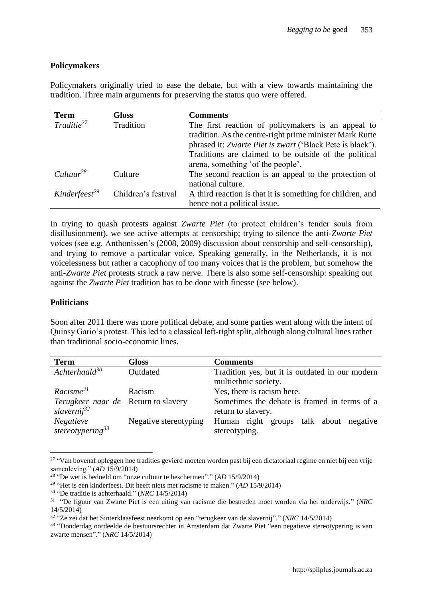# **Policymakers**

Policymakers originally tried to ease the debate, but with a view towards maintaining the tradition. Three main arguments for preserving the status quo were offered.

| <b>Term</b>                | Gloss               | <b>Comments</b>                                                            |
|----------------------------|---------------------|----------------------------------------------------------------------------|
| Traditie <sup>27</sup>     | Tradition           | The first reaction of policymakers is an appeal to                         |
|                            |                     | tradition. As the centre-right prime minister Mark Rutte                   |
|                            |                     | phrased it: Zwarte Piet is zwart ('Black Pete is black').                  |
|                            |                     | Traditions are claimed to be outside of the political                      |
|                            |                     | arena, something 'of the people'.                                          |
| Cultuur <sup>28</sup>      | Culture             | The second reaction is an appeal to the protection of<br>national culture. |
| Kind effects <sup>29</sup> | Children's festival | A third reaction is that it is something for children, and                 |
|                            |                     | hence not a political issue.                                               |

In trying to quash protests against *Zwarte Piet* (to protect children's tender souls from disillusionment), we see active attempts at censorship; trying to silence the anti-*Zwarte Piet* voices (see e.g. Anthonissen's (2008, 2009) discussion about censorship and self-censorship), and trying to remove a particular voice. Speaking generally, in the Netherlands, it is not voicelessness but rather a cacophony of too many voices that is the problem, but somehow the anti-*Zwarte Piet* protests struck a raw nerve. There is also some self-censorship: speaking out against the *Zwarte Piet* tradition has to be done with finesse (see below).

## **Politicians**

Soon after 2011 there was more political debate, and some parties went along with the intent of Quinsy Gario's protest. This led to a classical left-right split, although along cultural lines rather than traditional socio-economic lines.

| <b>Term</b>                                                           | <b>Gloss</b>          | <b>Comments</b>                                                         |
|-----------------------------------------------------------------------|-----------------------|-------------------------------------------------------------------------|
| $A$ chterhaald $30$                                                   | Outdated              | Tradition yes, but it is outdated in our modern<br>multiethnic society. |
| $Racisme^{31}$                                                        | Racism                | Yes, there is racism here.                                              |
| <i>Terugkeer naar de</i> Return to slavery<br>slavernij <sup>32</sup> |                       | Sometimes the debate is framed in terms of a<br>return to slavery.      |
| Negatieve<br>stereotypering <sup>33</sup>                             | Negative stereotyping | Human right groups talk about negative<br>stereotyping.                 |

 $\overline{a}$ <sup>27</sup> "Van bovenaf opleggen hoe tradities gevierd moeten worden past bij een dictatoriaal regime en niet bij een vrije samenleving." (*AD* 15/9/2014)

<sup>28</sup> "De wet is bedoeld om "onze cultuur te beschermen"." (*AD* 15/9/2014)

<sup>29</sup> "Het is een kinderfeest. Dit heeft niets met racisme te maken." (*AD* 15/9/2014)

<sup>30</sup> "De traditie is achterhaald." (*NRC* 14/5/2014)

<sup>31</sup> "De figuur van Zwarte Piet is een uiting van racisme die bestreden moet worden via het onderwijs." (*NRC* 14/5/2014)

<sup>32</sup> "Ze zei dat het Sinterklaasfeest neerkomt op een "terugkeer van de slavernij"." (*NRC* 14/5/2014)

<sup>&</sup>lt;sup>33</sup> "Donderdag oordeelde de bestuursrechter in Amsterdam dat Zwarte Piet "een negatieve stereotypering is van zwarte mensen"." (*NRC* 14/5/2014)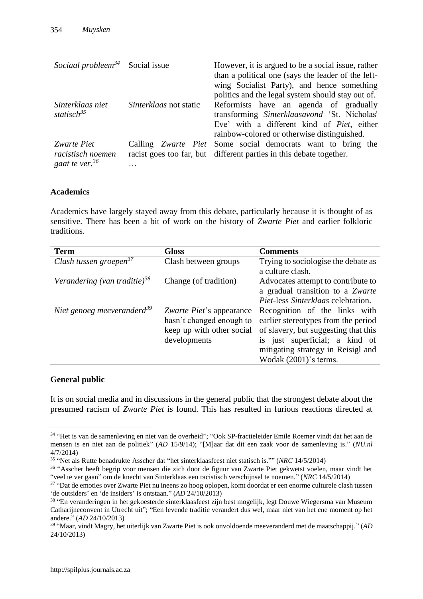| Sociaal probleem <sup>34</sup> Social issue           |                        | However, it is argued to be a social issue, rather<br>than a political one (says the leader of the left-<br>wing Socialist Party), and hence something<br>politics and the legal system should stay out of. |
|-------------------------------------------------------|------------------------|-------------------------------------------------------------------------------------------------------------------------------------------------------------------------------------------------------------|
| Sinterklaas niet<br>statisch <sup>35</sup>            | Sinterklaas not static | Reformists have an agenda of gradually<br>transforming Sinterklaasavond 'St. Nicholas'<br>Eve' with a different kind of <i>Piet</i> , either<br>rainbow-colored or otherwise distinguished.                 |
| Zwarte Piet<br>racistisch noemen<br>gaat te ver. $36$ | .                      | Calling Zwarte Piet Some social democrats want to bring the<br>racist goes too far, but different parties in this debate together.                                                                          |

## **Academics**

Academics have largely stayed away from this debate, particularly because it is thought of as sensitive. There has been a bit of work on the history of *Zwarte Piet* and earlier folkloric traditions.

| <b>Term</b>                              | <b>Gloss</b>                                                                                      | <b>Comments</b>                                                                                                                                                                                               |
|------------------------------------------|---------------------------------------------------------------------------------------------------|---------------------------------------------------------------------------------------------------------------------------------------------------------------------------------------------------------------|
| Clash tussen groepen $37$                | Clash between groups                                                                              | Trying to sociologise the debate as<br>a culture clash.                                                                                                                                                       |
| Verandering (van traditie) <sup>38</sup> | Change (of tradition)                                                                             | Advocates attempt to contribute to<br>a gradual transition to a Zwarte<br><i>Piet-less Sinterklaas celebration.</i>                                                                                           |
| Niet genoeg meeveranderd <sup>39</sup>   | Zwarte Piet's appearance<br>hasn't changed enough to<br>keep up with other social<br>developments | Recognition of the links with<br>earlier stereotypes from the period<br>of slavery, but suggesting that this<br>is just superficial; a kind of<br>mitigating strategy in Reisigl and<br>Wodak (2001)'s terms. |

## **General public**

 $\overline{a}$ 

It is on social media and in discussions in the general public that the strongest debate about the presumed racism of *Zwarte Piet* is found. This has resulted in furious reactions directed at

<sup>34</sup> "Het is van de samenleving en niet van de overheid"; "Ook SP-fractieleider Emile Roemer vindt dat het aan de mensen is en niet aan de politiek" (*AD* 15/9/14); "[M]aar dat dit een zaak voor de samenleving is." (*NU.nl* 4/7/2014)

<sup>35</sup> "Net als Rutte benadrukte Asscher dat "het sinterklaasfeest niet statisch is."" (*NRC* 14/5/2014)

<sup>&</sup>lt;sup>36</sup> "Asscher heeft begrip voor mensen die zich door de figuur van Zwarte Piet gekwetst voelen, maar vindt het "veel te ver gaan" om de knecht van Sinterklaas een racistisch verschijnsel te noemen." (*NRC* 14/5/2014)

<sup>&</sup>lt;sup>37</sup> "Dat de emoties over Zwarte Piet nu ineens zo hoog oplopen, komt doordat er een enorme culturele clash tussen 'de outsiders' en 'de insiders' is ontstaan." (*AD* 24/10/2013)

<sup>&</sup>lt;sup>38</sup> "En veranderingen in het gekoesterde sinterklaasfeest zijn best mogelijk, legt Douwe Wiegersma van Museum Catharijneconvent in Utrecht uit"; "Een levende traditie verandert dus wel, maar niet van het ene moment op het andere." (*AD* 24/10/2013)

<sup>39</sup> "Maar, vindt Magry, het uiterlijk van Zwarte Piet is ook onvoldoende meeveranderd met de maatschappij." (*AD* 24/10/2013)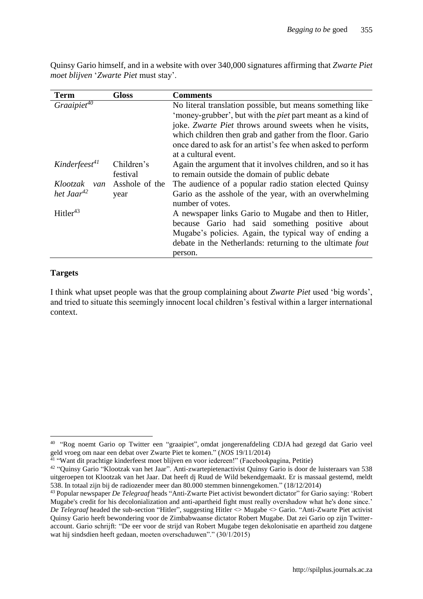Quinsy Gario himself, and in a website with over 340,000 signatures affirming that *Zwarte Piet moet blijven* '*Zwarte Piet* must stay'.

| Term                      | <b>Gloss</b>   | Comments                                                          |
|---------------------------|----------------|-------------------------------------------------------------------|
| $Graaipiet^{40}$          |                | No literal translation possible, but means something like         |
|                           |                | 'money-grubber', but with the <i>piet</i> part meant as a kind of |
|                           |                | joke. Zwarte Piet throws around sweets when he visits,            |
|                           |                | which children then grab and gather from the floor. Gario         |
|                           |                | once dared to ask for an artist's fee when asked to perform       |
|                           |                | at a cultural event.                                              |
| Kinderfeest <sup>41</sup> | Children's     | Again the argument that it involves children, and so it has       |
|                           | festival       | to remain outside the domain of public debate                     |
| Klootzak<br>van           | Asshole of the | The audience of a popular radio station elected Quinsy            |
| het Jaar <sup>42</sup>    | year           | Gario as the asshole of the year, with an overwhelming            |
|                           |                | number of votes.                                                  |
| Hitler <sup>43</sup>      |                | A newspaper links Gario to Mugabe and then to Hitler,             |
|                           |                | because Gario had said something positive about                   |
|                           |                | Mugabe's policies. Again, the typical way of ending a             |
|                           |                | debate in the Netherlands: returning to the ultimate fout         |
|                           |                | person.                                                           |

# **Targets**

 $\overline{a}$ 

I think what upset people was that the group complaining about *Zwarte Piet* used 'big words', and tried to situate this seemingly innocent local children's festival within a larger international context.

<sup>&</sup>lt;sup>40</sup> "Rog noemt Gario op Twitter een "graaipiet", omdat jongerenafdeling CDJA had gezegd dat Gario veel

geld vroeg om naar een debat over Zwarte Piet te komen." (*NOS* 19/11/2014)<br><sup>41</sup> "Want dit prachtige kinderfeest moet blijven en voor iedereen!" (Facebookpagina, Petitie)

<sup>&</sup>lt;sup>42</sup> "Quinsy Gario "Klootzak van het Jaar". Anti-zwartepietenactivist Quinsy Gario is door de luisteraars van 538 uitgeroepen tot Klootzak van het Jaar. Dat heeft dj Ruud de Wild bekendgemaakt. Er is massaal gestemd, meldt 538. In totaal zijn bij de radiozender meer dan 80.000 stemmen binnengekomen." (18/12/2014)

<sup>43</sup> Popular newspaper *De Telegraaf* heads "Anti-Zwarte Piet activist bewondert dictator" for Gario saying: 'Robert Mugabe's credit for his decolonialization and anti-apartheid fight must really overshadow what he's done since.' *De Telegraaf* headed the sub-section "Hitler", suggesting Hitler <> Mugabe <> Gario. "Anti-Zwarte Piet activist Quinsy Gario heeft bewondering voor de Zimbabwaanse dictator Robert Mugabe. Dat zei Gario op zijn Twitteraccount. Gario schrijft: "De eer voor de strijd van Robert Mugabe tegen dekolonisatie en apartheid zou datgene wat hij sindsdien heeft gedaan, moeten overschaduwen"." (30/1/2015)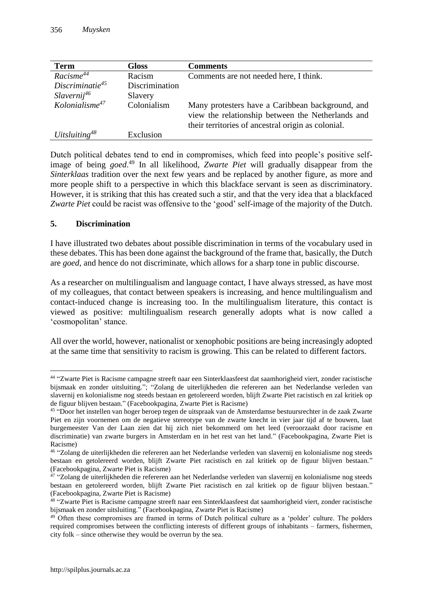| <b>Term</b>                         | <b>Gloss</b>   | <b>Comments</b>                                                                                                                                             |
|-------------------------------------|----------------|-------------------------------------------------------------------------------------------------------------------------------------------------------------|
| $\overline{R}a$ cisme <sup>44</sup> | Racism         | Comments are not needed here, I think.                                                                                                                      |
| Discriminatie <sup>45</sup>         | Discrimination |                                                                                                                                                             |
| Slavernij <sup>46</sup>             | Slavery        |                                                                                                                                                             |
| $Kolonialisme^{47}$                 | Colonialism    | Many protesters have a Caribbean background, and<br>view the relationship between the Netherlands and<br>their territories of ancestral origin as colonial. |
| Uitsluiting <sup>48</sup>           | Exclusion      |                                                                                                                                                             |

Dutch political debates tend to end in compromises, which feed into people's positive selfimage of being *goed*. <sup>49</sup> In all likelihood, *Zwarte Piet* will gradually disappear from the *Sinterklaas* tradition over the next few years and be replaced by another figure, as more and more people shift to a perspective in which this blackface servant is seen as discriminatory. However, it is striking that this has created such a stir, and that the very idea that a blackfaced *Zwarte Piet* could be racist was offensive to the 'good' self-image of the majority of the Dutch.

# **5. Discrimination**

 $\overline{a}$ 

I have illustrated two debates about possible discrimination in terms of the vocabulary used in these debates. This has been done against the background of the frame that, basically, the Dutch are *goed*, and hence do not discriminate, which allows for a sharp tone in public discourse.

As a researcher on multilingualism and language contact, I have always stressed, as have most of my colleagues, that contact between speakers is increasing, and hence multilingualism and contact-induced change is increasing too. In the multilingualism literature, this contact is viewed as positive: multilingualism research generally adopts what is now called a 'cosmopolitan' stance.

All over the world, however, nationalist or xenophobic positions are being increasingly adopted at the same time that sensitivity to racism is growing. This can be related to different factors.

<sup>&</sup>lt;sup>44</sup> "Zwarte Piet is Racisme campagne streeft naar een Sinterklaasfeest dat saamhorigheid viert, zonder racistische bijsmaak en zonder uitsluiting."; "Zolang de uiterlijkheden die refereren aan het Nederlandse verleden van slavernij en kolonialisme nog steeds bestaan en getolereerd worden, blijft Zwarte Piet racistisch en zal kritiek op de figuur blijven bestaan." (Facebookpagina, Zwarte Piet is Racisme)

<sup>&</sup>lt;sup>45</sup> "Door het instellen van hoger beroep tegen de uitspraak van de Amsterdamse bestuursrechter in de zaak Zwarte Piet en zijn voornemen om de negatieve stereotype van de zwarte knecht in vier jaar tijd af te bouwen, laat burgemeester Van der Laan zien dat hij zich niet bekommerd om het leed (veroorzaakt door racisme en discriminatie) van zwarte burgers in Amsterdam en in het rest van het land." (Facebookpagina, Zwarte Piet is Racisme)

<sup>&</sup>lt;sup>46</sup> "Zolang de uiterlijkheden die refereren aan het Nederlandse verleden van slavernij en kolonialisme nog steeds bestaan en getolereerd worden, blijft Zwarte Piet racistisch en zal kritiek op de figuur blijven bestaan." (Facebookpagina, Zwarte Piet is Racisme)

<sup>&</sup>lt;sup>47</sup> "Zolang de uiterlijkheden die refereren aan het Nederlandse verleden van slavernij en kolonialisme nog steeds bestaan en getolereerd worden, blijft Zwarte Piet racistisch en zal kritiek op de figuur blijven bestaan." (Facebookpagina, Zwarte Piet is Racisme)

<sup>&</sup>lt;sup>48</sup> "Zwarte Piet is Racisme campagne streeft naar een Sinterklaasfeest dat saamhorigheid viert, zonder racistische bijsmaak en zonder uitsluiting." (Facebookpagina, Zwarte Piet is Racisme)

<sup>&</sup>lt;sup>49</sup> Often these compromises are framed in terms of Dutch political culture as a 'polder' culture. The polders required compromises between the conflicting interests of different groups of inhabitants – farmers, fishermen, city folk – since otherwise they would be overrun by the sea.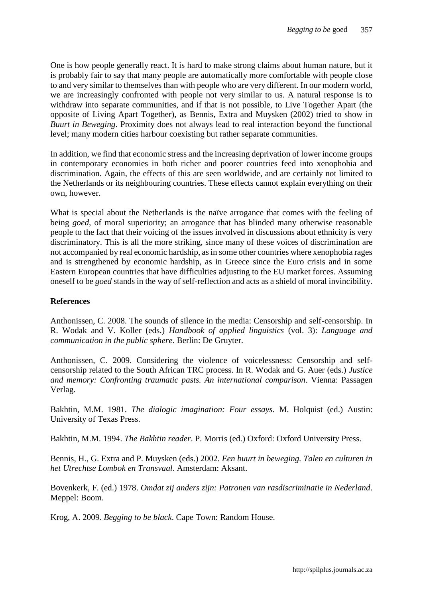One is how people generally react. It is hard to make strong claims about human nature, but it is probably fair to say that many people are automatically more comfortable with people close to and very similar to themselves than with people who are very different. In our modern world, we are increasingly confronted with people not very similar to us. A natural response is to withdraw into separate communities, and if that is not possible, to Live Together Apart (the opposite of Living Apart Together), as Bennis, Extra and Muysken (2002) tried to show in *Buurt in Beweging*. Proximity does not always lead to real interaction beyond the functional level; many modern cities harbour coexisting but rather separate communities.

In addition, we find that economic stress and the increasing deprivation of lower income groups in contemporary economies in both richer and poorer countries feed into xenophobia and discrimination. Again, the effects of this are seen worldwide, and are certainly not limited to the Netherlands or its neighbouring countries. These effects cannot explain everything on their own, however.

What is special about the Netherlands is the naïve arrogance that comes with the feeling of being *goed*, of moral superiority; an arrogance that has blinded many otherwise reasonable people to the fact that their voicing of the issues involved in discussions about ethnicity is very discriminatory. This is all the more striking, since many of these voices of discrimination are not accompanied by real economic hardship, as in some other countries where xenophobia rages and is strengthened by economic hardship, as in Greece since the Euro crisis and in some Eastern European countries that have difficulties adjusting to the EU market forces. Assuming oneself to be *goed* stands in the way of self-reflection and acts as a shield of moral invincibility.

## **References**

Anthonissen, C. 2008. The sounds of silence in the media: Censorship and self-censorship. In R. Wodak and V. Koller (eds.) *Handbook of applied linguistics* (vol. 3): *Language and communication in the public sphere*. Berlin: De Gruyter.

Anthonissen, C. 2009. Considering the violence of voicelessness: Censorship and selfcensorship related to the South African TRC process. In R. Wodak and G. Auer (eds.) *Justice and memory: Confronting traumatic pasts. An international comparison*. Vienna: Passagen Verlag.

Bakhtin, M.M. 1981. *The dialogic imagination: Four essays.* M. Holquist (ed.) Austin: University of Texas Press.

Bakhtin, M.M. 1994. *The Bakhtin reader*. P. Morris (ed.) Oxford: Oxford University Press.

Bennis, H., G. Extra and P. Muysken (eds.) 2002. *Een buurt in beweging. Talen en culturen in het Utrechtse Lombok en Transvaal*. Amsterdam: Aksant.

Bovenkerk, F. (ed.) 1978. *Omdat zij anders zijn: Patronen van rasdiscriminatie in Nederland*. Meppel: Boom.

Krog, A. 2009. *Begging to be black*. Cape Town: Random House.